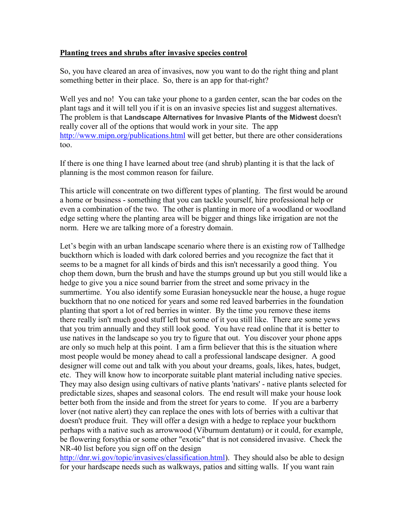## **Planting trees and shrubs after invasive species control**

So, you have cleared an area of invasives, now you want to do the right thing and plant something better in their place. So, there is an app for that-right?

Well yes and no! You can take your phone to a garden center, scan the bar codes on the plant tags and it will tell you if it is on an invasive species list and suggest alternatives. The problem is that **Landscape Alternatives for Invasive Plants of the Midwest** doesn't really cover all of the options that would work in your site. The app <http://www.mipn.org/publications.html> will get better, but there are other considerations too.

If there is one thing I have learned about tree (and shrub) planting it is that the lack of planning is the most common reason for failure.

This article will concentrate on two different types of planting. The first would be around a home or business - something that you can tackle yourself, hire professional help or even a combination of the two. The other is planting in more of a woodland or woodland edge setting where the planting area will be bigger and things like irrigation are not the norm. Here we are talking more of a forestry domain.

Let's begin with an urban landscape scenario where there is an existing row of Tallhedge buckthorn which is loaded with dark colored berries and you recognize the fact that it seems to be a magnet for all kinds of birds and this isn't necessarily a good thing. You chop them down, burn the brush and have the stumps ground up but you still would like a hedge to give you a nice sound barrier from the street and some privacy in the summertime. You also identify some Eurasian honeysuckle near the house, a huge rogue buckthorn that no one noticed for years and some red leaved barberries in the foundation planting that sport a lot of red berries in winter. By the time you remove these items there really isn't much good stuff left but some of it you still like. There are some yews that you trim annually and they still look good. You have read online that it is better to use natives in the landscape so you try to figure that out. You discover your phone apps are only so much help at this point. I am a firm believer that this is the situation where most people would be money ahead to call a professional landscape designer. A good designer will come out and talk with you about your dreams, goals, likes, hates, budget, etc. They will know how to incorporate suitable plant material including native species. They may also design using cultivars of native plants 'nativars' - native plants selected for predictable sizes, shapes and seasonal colors. The end result will make your house look better both from the inside and from the street for years to come. If you are a barberry lover (not native alert) they can replace the ones with lots of berries with a cultivar that doesn't produce fruit. They will offer a design with a hedge to replace your buckthorn perhaps with a native such as arrowwood (Viburnum dentatum) or it could, for example, be flowering forsythia or some other "exotic" that is not considered invasive. Check the NR-40 list before you sign off on the design

[http://dnr.wi.gov/topic/invasives/classification.html\)](http://dnr.wi.gov/topic/invasives/classification.html). They should also be able to design for your hardscape needs such as walkways, patios and sitting walls. If you want rain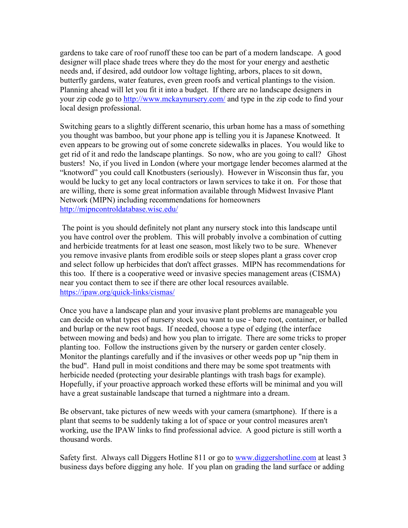gardens to take care of roof runoff these too can be part of a modern landscape. A good designer will place shade trees where they do the most for your energy and aesthetic needs and, if desired, add outdoor low voltage lighting, arbors, places to sit down, butterfly gardens, water features, even green roofs and vertical plantings to the vision. Planning ahead will let you fit it into a budget. If there are no landscape designers in your zip code go to<http://www.mckaynursery.com/> and type in the zip code to find your local design professional.

Switching gears to a slightly different scenario, this urban home has a mass of something you thought was bamboo, but your phone app is telling you it is Japanese Knotweed. It even appears to be growing out of some concrete sidewalks in places. You would like to get rid of it and redo the landscape plantings. So now, who are you going to call? Ghost busters! No, if you lived in London (where your mortgage lender becomes alarmed at the "knotword" you could call Knotbusters (seriously). However in Wisconsin thus far, you would be lucky to get any local contractors or lawn services to take it on. For those that are willing, there is some great information available through Midwest Invasive Plant Network (MIPN) including recommendations for homeowners <http://mipncontroldatabase.wisc.edu/>

The point is you should definitely not plant any nursery stock into this landscape until you have control over the problem. This will probably involve a combination of cutting and herbicide treatments for at least one season, most likely two to be sure. Whenever you remove invasive plants from erodible soils or steep slopes plant a grass cover crop and select follow up herbicides that don't affect grasses. MIPN has recommendations for this too. If there is a cooperative weed or invasive species management areas (CISMA) near you contact them to see if there are other local resources available. <https://ipaw.org/quick-links/cismas/>

Once you have a landscape plan and your invasive plant problems are manageable you can decide on what types of nursery stock you want to use - bare root, container, or balled and burlap or the new root bags. If needed, choose a type of edging (the interface between mowing and beds) and how you plan to irrigate. There are some tricks to proper planting too. Follow the instructions given by the nursery or garden center closely. Monitor the plantings carefully and if the invasives or other weeds pop up "nip them in the bud". Hand pull in moist conditions and there may be some spot treatments with herbicide needed (protecting your desirable plantings with trash bags for example). Hopefully, if your proactive approach worked these efforts will be minimal and you will have a great sustainable landscape that turned a nightmare into a dream.

Be observant, take pictures of new weeds with your camera (smartphone). If there is a plant that seems to be suddenly taking a lot of space or your control measures aren't working, use the IPAW links to find professional advice. A good picture is still worth a thousand words.

Safety first. Always call Diggers Hotline 811 or go to [www.diggershotline.com](http://www.diggershotline.com/) at least 3 business days before digging any hole. If you plan on grading the land surface or adding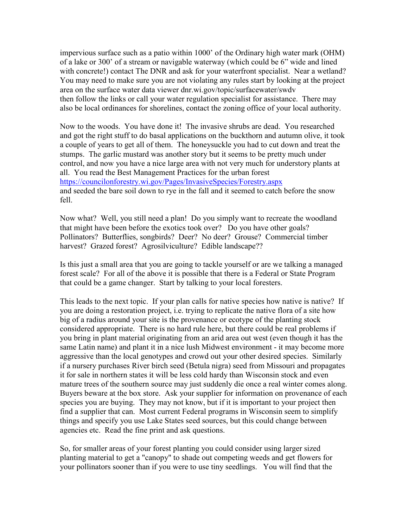impervious surface such as a patio within 1000' of the Ordinary high water mark (OHM) of a lake or 300' of a stream or navigable waterway (which could be 6" wide and lined with concrete!) contact The DNR and ask for your waterfront specialist. Near a wetland? You may need to make sure you are not violating any rules start by looking at the project area on the surface water data viewer dnr.wi.gov/topic/surfacewater/swdv then follow the links or call your water regulation specialist for assistance. There may also be local ordinances for shorelines, contact the zoning office of your local authority.

Now to the woods. You have done it! The invasive shrubs are dead. You researched and got the right stuff to do basal applications on the buckthorn and autumn olive, it took a couple of years to get all of them. The honeysuckle you had to cut down and treat the stumps. The garlic mustard was another story but it seems to be pretty much under control, and now you have a nice large area with not very much for understory plants at all. You read the Best Management Practices for the urban forest <https://councilonforestry.wi.gov/Pages/InvasiveSpecies/Forestry.aspx> and seeded the bare soil down to rye in the fall and it seemed to catch before the snow fell.

Now what? Well, you still need a plan! Do you simply want to recreate the woodland that might have been before the exotics took over? Do you have other goals? Pollinators? Butterflies, songbirds? Deer? No deer? Grouse? Commercial timber harvest? Grazed forest? Agrosilviculture? Edible landscape??

Is this just a small area that you are going to tackle yourself or are we talking a managed forest scale? For all of the above it is possible that there is a Federal or State Program that could be a game changer. Start by talking to your local foresters.

This leads to the next topic. If your plan calls for native species how native is native? If you are doing a restoration project, i.e. trying to replicate the native flora of a site how big of a radius around your site is the provenance or ecotype of the planting stock considered appropriate. There is no hard rule here, but there could be real problems if you bring in plant material originating from an arid area out west (even though it has the same Latin name) and plant it in a nice lush Midwest environment - it may become more aggressive than the local genotypes and crowd out your other desired species. Similarly if a nursery purchases River birch seed (Betula nigra) seed from Missouri and propagates it for sale in northern states it will be less cold hardy than Wisconsin stock and even mature trees of the southern source may just suddenly die once a real winter comes along. Buyers beware at the box store. Ask your supplier for information on provenance of each species you are buying. They may not know, but if it is important to your project then find a supplier that can. Most current Federal programs in Wisconsin seem to simplify things and specify you use Lake States seed sources, but this could change between agencies etc. Read the fine print and ask questions.

So, for smaller areas of your forest planting you could consider using larger sized planting material to get a "canopy" to shade out competing weeds and get flowers for your pollinators sooner than if you were to use tiny seedlings. You will find that the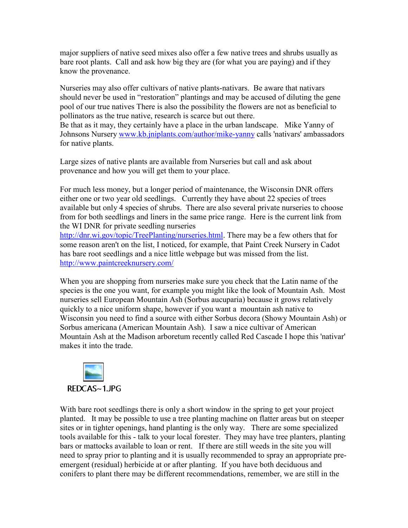major suppliers of native seed mixes also offer a few native trees and shrubs usually as bare root plants. Call and ask how big they are (for what you are paying) and if they know the provenance.

Nurseries may also offer cultivars of native plants-nativars. Be aware that nativars should never be used in "restoration" plantings and may be accused of diluting the gene pool of our true natives There is also the possibility the flowers are not as beneficial to pollinators as the true native, research is scarce but out there.

Be that as it may, they certainly have a place in the urban landscape. Mike Yanny of Johnsons Nursery [www.kb.jniplants.com/author/mike-yanny](http://www.kb.jniplants.com/author/mike-yanny) calls 'nativars' ambassadors for native plants.

Large sizes of native plants are available from Nurseries but call and ask about provenance and how you will get them to your place.

For much less money, but a longer period of maintenance, the Wisconsin DNR offers either one or two year old seedlings. Currently they have about 22 species of trees available but only 4 species of shrubs. There are also several private nurseries to choose from for both seedlings and liners in the same price range. Here is the current link from the WI DNR for private seedling nurseries

[http://dnr.wi.gov/topic/TreePlanting/nurseries.html.](http://dnr.wi.gov/topic/TreePlanting/nurseries.html) There may be a few others that for some reason aren't on the list, I noticed, for example, that Paint Creek Nursery in Cadot has bare root seedlings and a nice little webpage but was missed from the list. <http://www.paintcreeknursery.com/>

When you are shopping from nurseries make sure you check that the Latin name of the species is the one you want, for example you might like the look of Mountain Ash. Most nurseries sell European Mountain Ash (Sorbus aucuparia) because it grows relatively quickly to a nice uniform shape, however if you want a mountain ash native to Wisconsin you need to find a source with either Sorbus decora (Showy Mountain Ash) or Sorbus americana (American Mountain Ash). I saw a nice cultivar of American Mountain Ash at the Madison arboretum recently called Red Cascade I hope this 'nativar' makes it into the trade.



With bare root seedlings there is only a short window in the spring to get your project planted. It may be possible to use a tree planting machine on flatter areas but on steeper sites or in tighter openings, hand planting is the only way. There are some specialized tools available for this - talk to your local forester. They may have tree planters, planting bars or mattocks available to loan or rent. If there are still weeds in the site you will need to spray prior to planting and it is usually recommended to spray an appropriate preemergent (residual) herbicide at or after planting. If you have both deciduous and conifers to plant there may be different recommendations, remember, we are still in the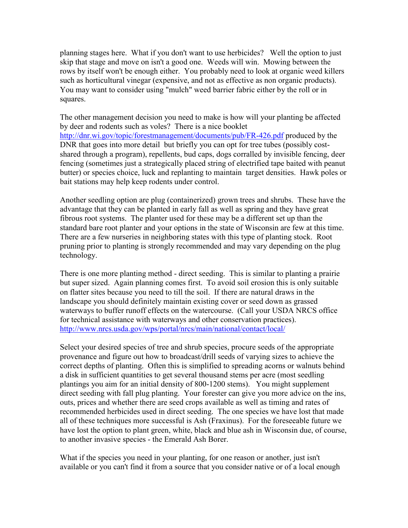planning stages here. What if you don't want to use herbicides? Well the option to just skip that stage and move on isn't a good one. Weeds will win. Mowing between the rows by itself won't be enough either. You probably need to look at organic weed killers such as horticultural vinegar (expensive, and not as effective as non organic products). You may want to consider using "mulch" weed barrier fabric either by the roll or in squares.

The other management decision you need to make is how will your planting be affected by deer and rodents such as voles? There is a nice booklet <http://dnr.wi.gov/topic/forestmanagement/documents/pub/FR-426.pdf> produced by the DNR that goes into more detail but briefly you can opt for tree tubes (possibly costshared through a program), repellents, bud caps, dogs corralled by invisible fencing, deer fencing (sometimes just a strategically placed string of electrified tape baited with peanut butter) or species choice, luck and replanting to maintain target densities. Hawk poles or bait stations may help keep rodents under control.

Another seedling option are plug (containerized) grown trees and shrubs. These have the advantage that they can be planted in early fall as well as spring and they have great fibrous root systems. The planter used for these may be a different set up than the standard bare root planter and your options in the state of Wisconsin are few at this time. There are a few nurseries in neighboring states with this type of planting stock. Root pruning prior to planting is strongly recommended and may vary depending on the plug technology.

There is one more planting method - direct seeding. This is similar to planting a prairie but super sized. Again planning comes first. To avoid soil erosion this is only suitable on flatter sites because you need to till the soil. If there are natural draws in the landscape you should definitely maintain existing cover or seed down as grassed waterways to buffer runoff effects on the watercourse. (Call your USDA NRCS office for technical assistance with waterways and other conservation practices). <http://www.nrcs.usda.gov/wps/portal/nrcs/main/national/contact/local/>

Select your desired species of tree and shrub species, procure seeds of the appropriate provenance and figure out how to broadcast/drill seeds of varying sizes to achieve the correct depths of planting. Often this is simplified to spreading acorns or walnuts behind a disk in sufficient quantities to get several thousand stems per acre (most seedling plantings you aim for an initial density of 800-1200 stems). You might supplement direct seeding with fall plug planting. Your forester can give you more advice on the ins, outs, prices and whether there are seed crops available as well as timing and rates of recommended herbicides used in direct seeding. The one species we have lost that made all of these techniques more successful is Ash (Fraxinus). For the foreseeable future we have lost the option to plant green, white, black and blue ash in Wisconsin due, of course, to another invasive species - the Emerald Ash Borer.

What if the species you need in your planting, for one reason or another, just isn't available or you can't find it from a source that you consider native or of a local enough